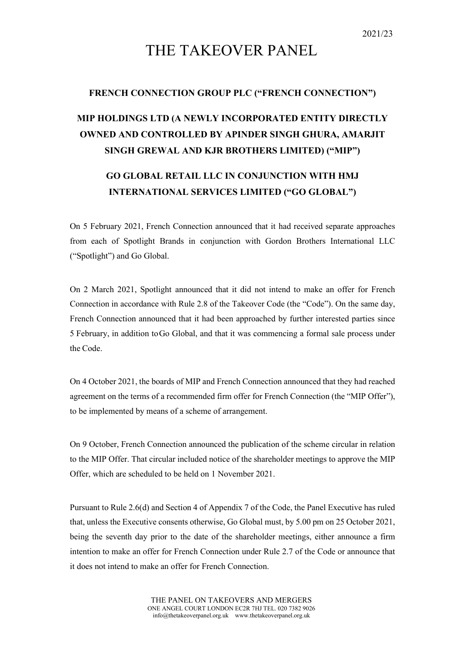## THE TAKEOVER PANEL

## **FRENCH CONNECTION GROUP PLC ("FRENCH CONNECTION")**

## **MIP HOLDINGS LTD (A NEWLY INCORPORATED ENTITY DIRECTLY OWNED AND CONTROLLED BY APINDER SINGH GHURA, AMARJIT SINGH GREWAL AND KJR BROTHERS LIMITED) ("MIP")**

## **GO GLOBAL RETAIL LLC IN CONJUNCTION WITH HMJ INTERNATIONAL SERVICES LIMITED ("GO GLOBAL")**

On 5 February 2021, French Connection announced that it had received separate approaches from each of Spotlight Brands in conjunction with Gordon Brothers International LLC ("Spotlight") and Go Global.

On 2 March 2021, Spotlight announced that it did not intend to make an offer for French Connection in accordance with Rule 2.8 of the Takeover Code (the "Code"). On the same day, French Connection announced that it had been approached by further interested parties since 5 February, in addition toGo Global, and that it was commencing a formal sale process under the Code.

On 4 October 2021, the boards of MIP and French Connection announced that they had reached agreement on the terms of a recommended firm offer for French Connection (the "MIP Offer"), to be implemented by means of a scheme of arrangement.

On 9 October, French Connection announced the publication of the scheme circular in relation to the MIP Offer. That circular included notice of the shareholder meetings to approve the MIP Offer, which are scheduled to be held on 1 November 2021.

Pursuant to Rule 2.6(d) and Section 4 of Appendix 7 of the Code, the Panel Executive has ruled that, unless the Executive consents otherwise, Go Global must, by 5.00 pm on 25 October 2021, being the seventh day prior to the date of the shareholder meetings, either announce a firm intention to make an offer for French Connection under Rule 2.7 of the Code or announce that it does not intend to make an offer for French Connection.